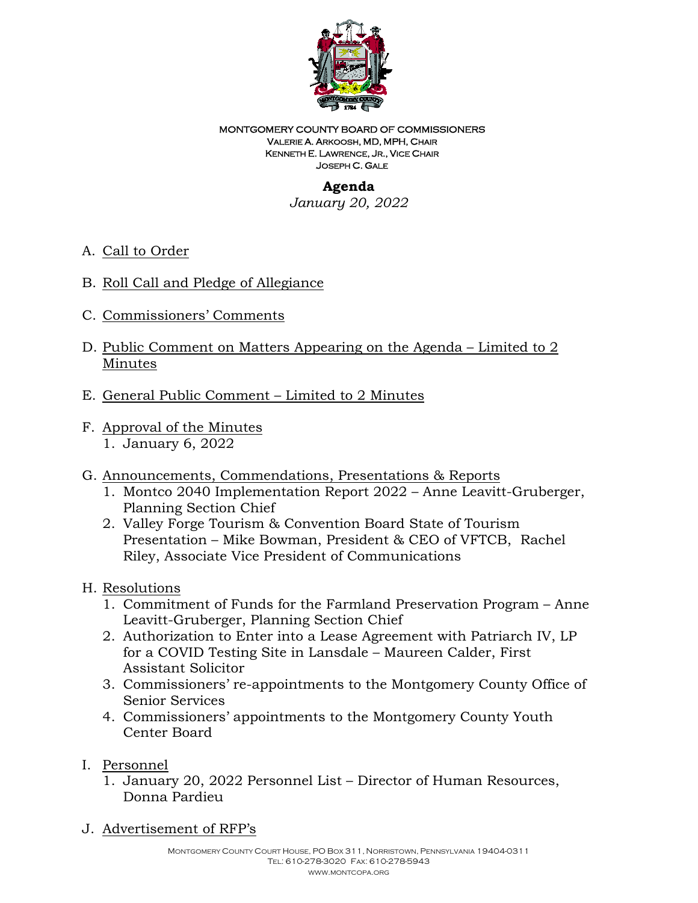

#### MONTGOMERY COUNTY BOARD OF COMMISSIONERS VALERIE A. ARKOOSH, MD, MPH, CHAIR KENNETH E. LAWRENCE, JR., VICE CHAIR JOSEPH C. GALE

# **Agenda**

*January 20, 2022*

- A. Call to Order
- B. Roll Call and Pledge of Allegiance
- C. Commissioners' Comments
- D. Public Comment on Matters Appearing on the Agenda Limited to 2 Minutes
- E. General Public Comment Limited to 2 Minutes
- F. Approval of the Minutes 1. January 6, 2022
- G. Announcements, Commendations, Presentations & Reports
	- 1. Montco 2040 Implementation Report 2022 Anne Leavitt-Gruberger, Planning Section Chief
	- 2. Valley Forge Tourism & Convention Board State of Tourism Presentation – Mike Bowman, President & CEO of VFTCB, Rachel Riley, Associate Vice President of Communications

### H. Resolutions

- 1. Commitment of Funds for the Farmland Preservation Program Anne Leavitt-Gruberger, Planning Section Chief
- 2. Authorization to Enter into a Lease Agreement with Patriarch IV, LP for a COVID Testing Site in Lansdale – Maureen Calder, First Assistant Solicitor
- 3. Commissioners' re-appointments to the Montgomery County Office of Senior Services
- 4. Commissioners' appointments to the Montgomery County Youth Center Board
- I. Personnel
	- 1. January 20, 2022 Personnel List Director of Human Resources, Donna Pardieu

J. Advertisement of RFP's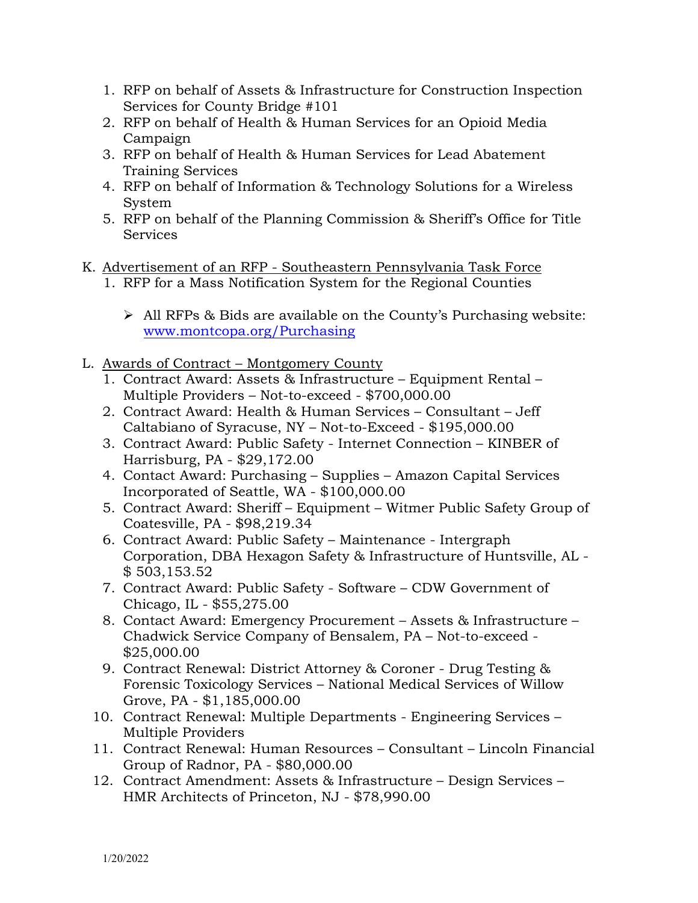- 1. RFP on behalf of Assets & Infrastructure for Construction Inspection Services for County Bridge #101
- 2. RFP on behalf of Health & Human Services for an Opioid Media Campaign
- 3. RFP on behalf of Health & Human Services for Lead Abatement Training Services
- 4. RFP on behalf of Information & Technology Solutions for a Wireless System
- 5. RFP on behalf of the Planning Commission & Sheriff's Office for Title Services
- K. Advertisement of an RFP Southeastern Pennsylvania Task Force
	- 1. RFP for a Mass Notification System for the Regional Counties
		- $\triangleright$  All RFPs & Bids are available on the County's Purchasing website: [www.montcopa.org/Purchasing](file://mcfs01/commishshare/Transition/Board%20Meetings%202021/11.4.21/www.montcopa.org/Purchasing)
- L. Awards of Contract Montgomery County
	- 1. Contract Award: Assets & Infrastructure Equipment Rental Multiple Providers – Not-to-exceed - \$700,000.00
	- 2. Contract Award: Health & Human Services Consultant Jeff Caltabiano of Syracuse, NY – Not-to-Exceed - \$195,000.00
	- 3. Contract Award: Public Safety Internet Connection KINBER of Harrisburg, PA - \$29,172.00
	- 4. Contact Award: Purchasing Supplies Amazon Capital Services Incorporated of Seattle, WA - \$100,000.00
	- 5. Contract Award: Sheriff Equipment Witmer Public Safety Group of Coatesville, PA - \$98,219.34
	- 6. Contract Award: Public Safety Maintenance Intergraph Corporation, DBA Hexagon Safety & Infrastructure of Huntsville, AL - \$ 503,153.52
	- 7. Contract Award: Public Safety Software CDW Government of Chicago, IL - \$55,275.00
	- 8. Contact Award: Emergency Procurement Assets & Infrastructure Chadwick Service Company of Bensalem, PA – Not-to-exceed - \$25,000.00
	- 9. Contract Renewal: District Attorney & Coroner Drug Testing & Forensic Toxicology Services – National Medical Services of Willow Grove, PA - \$1,185,000.00
	- 10. Contract Renewal: Multiple Departments Engineering Services Multiple Providers
	- 11. Contract Renewal: Human Resources Consultant Lincoln Financial Group of Radnor, PA - \$80,000.00
	- 12. Contract Amendment: Assets & Infrastructure Design Services HMR Architects of Princeton, NJ - \$78,990.00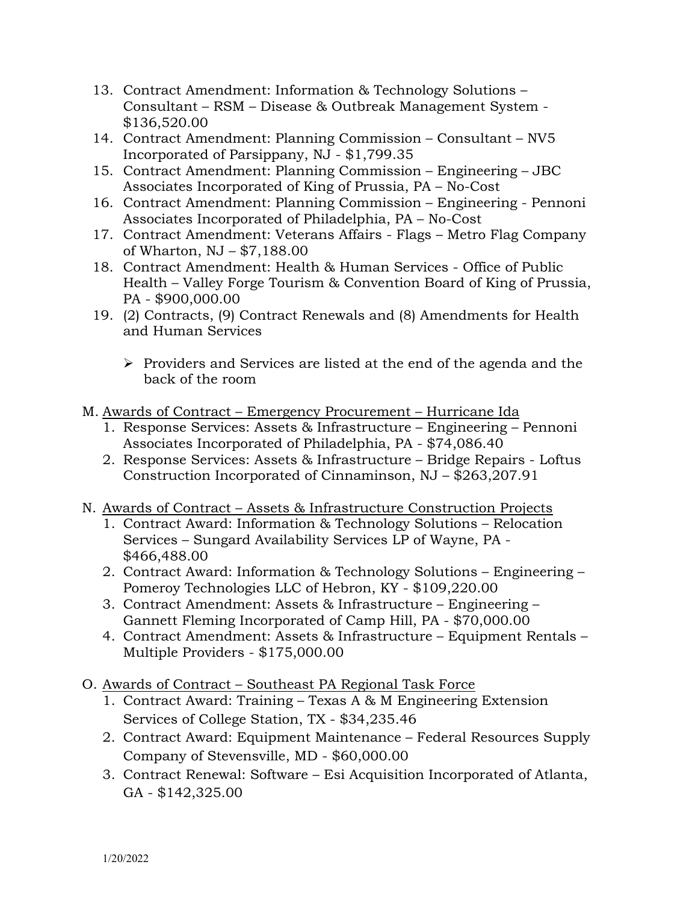- 13. Contract Amendment: Information & Technology Solutions Consultant – RSM – Disease & Outbreak Management System - \$136,520.00
- 14. Contract Amendment: Planning Commission Consultant NV5 Incorporated of Parsippany, NJ - \$1,799.35
- 15. Contract Amendment: Planning Commission Engineering JBC Associates Incorporated of King of Prussia, PA – No-Cost
- 16. Contract Amendment: Planning Commission Engineering Pennoni Associates Incorporated of Philadelphia, PA – No-Cost
- 17. Contract Amendment: Veterans Affairs Flags Metro Flag Company of Wharton, NJ – \$7,188.00
- 18. Contract Amendment: Health & Human Services Office of Public Health – Valley Forge Tourism & Convention Board of King of Prussia, PA - \$900,000.00
- 19. (2) Contracts, (9) Contract Renewals and (8) Amendments for Health and Human Services
	- $\triangleright$  Providers and Services are listed at the end of the agenda and the back of the room
- M. Awards of Contract Emergency Procurement Hurricane Ida
	- 1. Response Services: Assets & Infrastructure Engineering Pennoni Associates Incorporated of Philadelphia, PA - \$74,086.40
	- 2. Response Services: Assets & Infrastructure Bridge Repairs Loftus Construction Incorporated of Cinnaminson, NJ – \$263,207.91
- N. Awards of Contract Assets & Infrastructure Construction Projects
	- 1. Contract Award: Information & Technology Solutions Relocation Services – Sungard Availability Services LP of Wayne, PA - \$466,488.00
	- 2. Contract Award: Information & Technology Solutions Engineering Pomeroy Technologies LLC of Hebron, KY - \$109,220.00
	- 3. Contract Amendment: Assets & Infrastructure Engineering Gannett Fleming Incorporated of Camp Hill, PA - \$70,000.00
	- 4. Contract Amendment: Assets & Infrastructure Equipment Rentals Multiple Providers - \$175,000.00
- O. Awards of Contract Southeast PA Regional Task Force
	- 1. Contract Award: Training Texas A & M Engineering Extension Services of College Station, TX - \$34,235.46
	- 2. Contract Award: Equipment Maintenance Federal Resources Supply Company of Stevensville, MD - \$60,000.00
	- 3. Contract Renewal: Software Esi Acquisition Incorporated of Atlanta, GA - \$142,325.00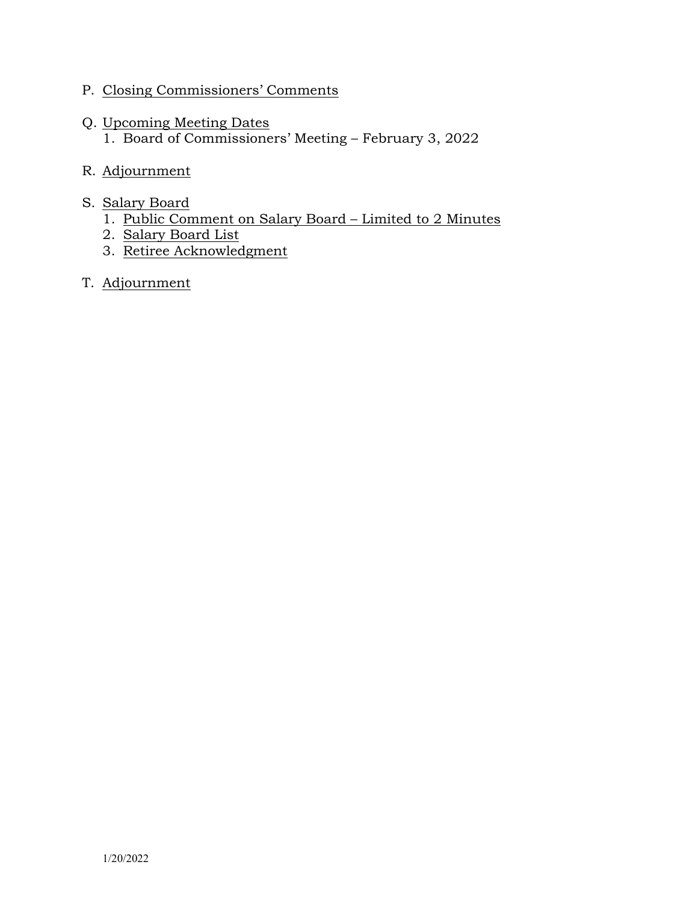- P. Closing Commissioners' Comments
- Q. Upcoming Meeting Dates 1. Board of Commissioners' Meeting – February 3, 2022
- R. Adjournment
- S. Salary Board
	- 1. Public Comment on Salary Board Limited to 2 Minutes
	- 2. Salary Board List
	- 3. Retiree Acknowledgment
- T. Adjournment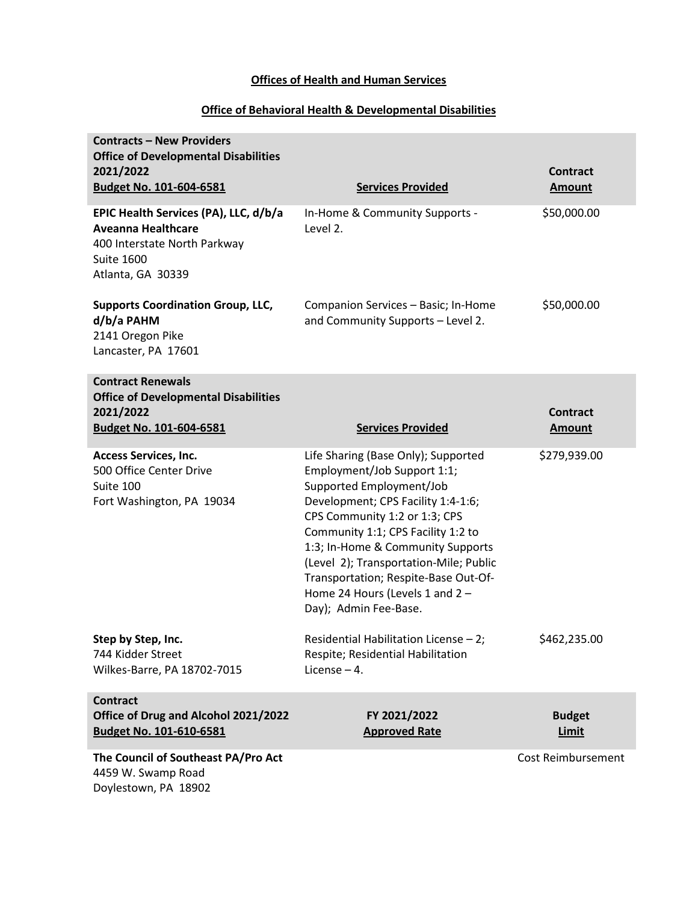### **Offices of Health and Human Services**

# **Office of Behavioral Health & Developmental Disabilities**

| <b>Contracts - New Providers</b><br><b>Office of Developmental Disabilities</b><br>2021/2022<br><b>Budget No. 101-604-6581</b>               | <b>Services Provided</b>                                                                                                                                                                                                                                                                                                                                                                       | <b>Contract</b><br><b>Amount</b> |
|----------------------------------------------------------------------------------------------------------------------------------------------|------------------------------------------------------------------------------------------------------------------------------------------------------------------------------------------------------------------------------------------------------------------------------------------------------------------------------------------------------------------------------------------------|----------------------------------|
| EPIC Health Services (PA), LLC, d/b/a<br><b>Aveanna Healthcare</b><br>400 Interstate North Parkway<br><b>Suite 1600</b><br>Atlanta, GA 30339 | In-Home & Community Supports -<br>Level 2.                                                                                                                                                                                                                                                                                                                                                     | \$50,000.00                      |
| <b>Supports Coordination Group, LLC,</b><br>d/b/a PAHM<br>2141 Oregon Pike<br>Lancaster, PA 17601                                            | Companion Services - Basic; In-Home<br>and Community Supports - Level 2.                                                                                                                                                                                                                                                                                                                       | \$50,000.00                      |
| <b>Contract Renewals</b><br><b>Office of Developmental Disabilities</b>                                                                      |                                                                                                                                                                                                                                                                                                                                                                                                |                                  |
| 2021/2022<br><b>Budget No. 101-604-6581</b>                                                                                                  | <b>Services Provided</b>                                                                                                                                                                                                                                                                                                                                                                       | <b>Contract</b><br><b>Amount</b> |
| <b>Access Services, Inc.</b><br>500 Office Center Drive<br>Suite 100<br>Fort Washington, PA 19034                                            | Life Sharing (Base Only); Supported<br>Employment/Job Support 1:1;<br>Supported Employment/Job<br>Development; CPS Facility 1:4-1:6;<br>CPS Community 1:2 or 1:3; CPS<br>Community 1:1; CPS Facility 1:2 to<br>1:3; In-Home & Community Supports<br>(Level 2); Transportation-Mile; Public<br>Transportation; Respite-Base Out-Of-<br>Home 24 Hours (Levels 1 and 2 -<br>Day); Admin Fee-Base. | \$279,939.00                     |
| Step by Step, Inc.<br>744 Kidder Street<br>Wilkes-Barre, PA 18702-7015                                                                       | Residential Habilitation License - 2;<br>Respite; Residential Habilitation<br>License $-4$ .                                                                                                                                                                                                                                                                                                   | \$462,235.00                     |
| <b>Contract</b><br>Office of Drug and Alcohol 2021/2022<br><b>Budget No. 101-610-6581</b>                                                    | FY 2021/2022<br><b>Approved Rate</b>                                                                                                                                                                                                                                                                                                                                                           | <b>Budget</b><br>Limit           |
| The Council of Southeast PA/Pro Act<br>4459 W. Swamp Road                                                                                    |                                                                                                                                                                                                                                                                                                                                                                                                | Cost Reimbursement               |

Doylestown, PA 18902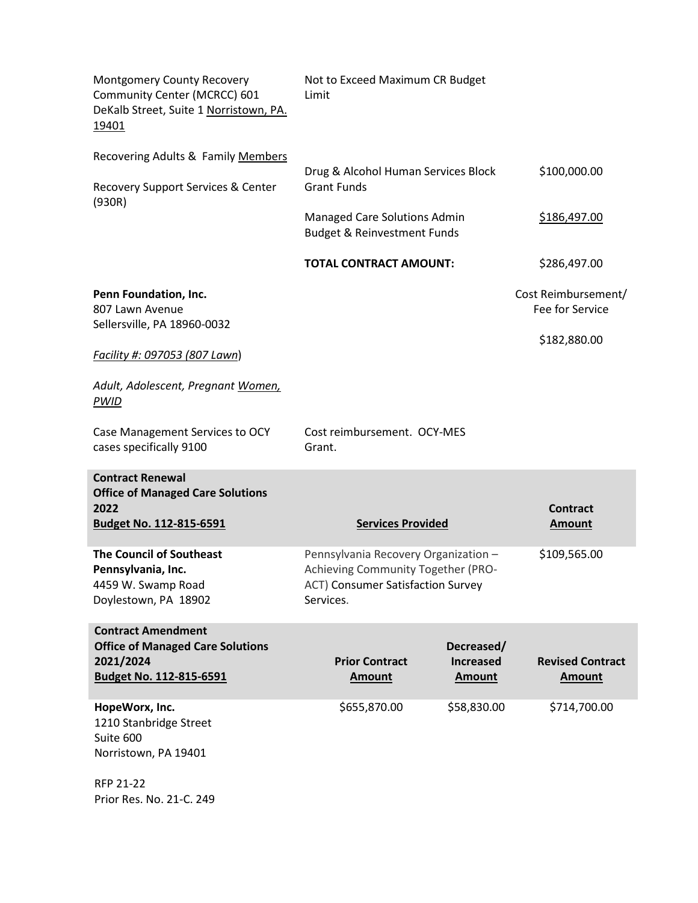| Montgomery County Recovery<br>Community Center (MCRCC) 601<br>DeKalb Street, Suite 1 Norristown, PA.<br>19401 | Not to Exceed Maximum CR Budget<br>Limit                                                                                     |                                                 |                                          |
|---------------------------------------------------------------------------------------------------------------|------------------------------------------------------------------------------------------------------------------------------|-------------------------------------------------|------------------------------------------|
| Recovering Adults & Family Members                                                                            | Drug & Alcohol Human Services Block                                                                                          |                                                 | \$100,000.00                             |
| Recovery Support Services & Center<br>(930R)                                                                  | <b>Grant Funds</b>                                                                                                           |                                                 |                                          |
|                                                                                                               | Managed Care Solutions Admin<br><b>Budget &amp; Reinvestment Funds</b>                                                       |                                                 | <u>\$186,497.00</u>                      |
|                                                                                                               | <b>TOTAL CONTRACT AMOUNT:</b>                                                                                                |                                                 | \$286,497.00                             |
| Penn Foundation, Inc.<br>807 Lawn Avenue                                                                      |                                                                                                                              |                                                 | Cost Reimbursement/<br>Fee for Service   |
| Sellersville, PA 18960-0032<br>Facility #: 097053 (807 Lawn)                                                  |                                                                                                                              |                                                 | \$182,880.00                             |
| Adult, Adolescent, Pregnant Women,<br><b>PWID</b>                                                             |                                                                                                                              |                                                 |                                          |
| Case Management Services to OCY<br>cases specifically 9100                                                    | Cost reimbursement. OCY-MES<br>Grant.                                                                                        |                                                 |                                          |
| <b>Contract Renewal</b><br><b>Office of Managed Care Solutions</b>                                            |                                                                                                                              |                                                 |                                          |
| 2022<br><b>Budget No. 112-815-6591</b>                                                                        | <b>Services Provided</b>                                                                                                     |                                                 | <b>Contract</b><br><b>Amount</b>         |
| <b>The Council of Southeast</b><br>Pennsylvania, Inc.<br>4459 W. Swamp Road<br>Doylestown, PA 18902           | Pennsylvania Recovery Organization -<br>Achieving Community Together (PRO-<br>ACT) Consumer Satisfaction Survey<br>Services. |                                                 | \$109,565.00                             |
| <b>Contract Amendment</b><br><b>Office of Managed Care Solutions</b><br>2021/2024<br>Budget No. 112-815-6591  | <b>Prior Contract</b><br><b>Amount</b>                                                                                       | Decreased/<br><b>Increased</b><br><b>Amount</b> | <b>Revised Contract</b><br><b>Amount</b> |
| HopeWorx, Inc.<br>1210 Stanbridge Street<br>Suite 600<br>Norristown, PA 19401                                 | \$655,870.00                                                                                                                 | \$58,830.00                                     | \$714,700.00                             |
| RFP 21-22<br>Prior Res. No. 21-C. 249                                                                         |                                                                                                                              |                                                 |                                          |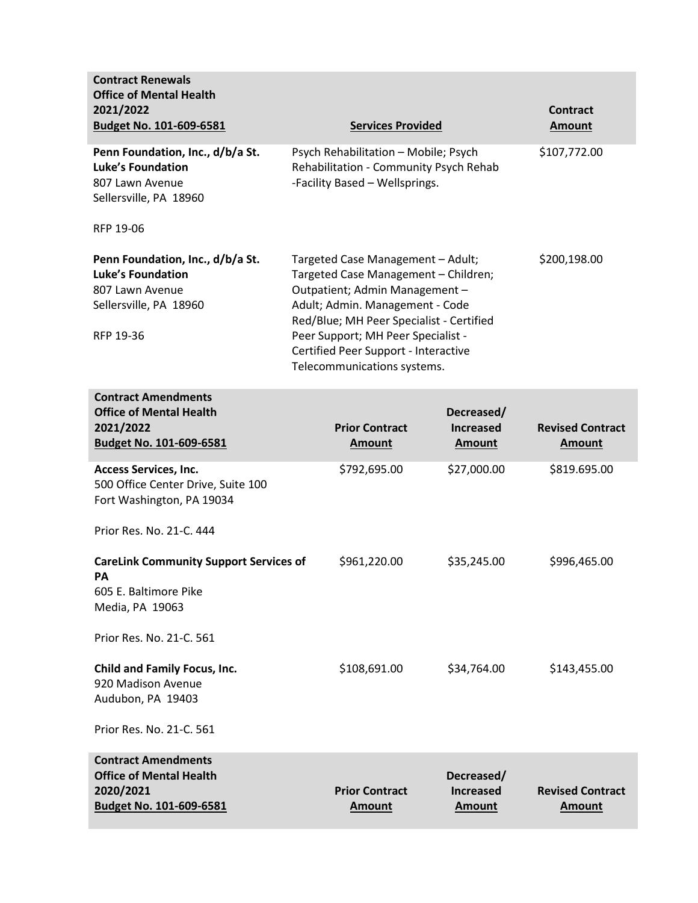| <b>Contract Renewals</b><br><b>Office of Mental Health</b><br>2021/2022<br><b>Budget No. 101-609-6581</b>                              | <b>Services Provided</b>                                                                                                                                                                                                                                                                                |                                                 | <b>Contract</b><br><b>Amount</b>         |
|----------------------------------------------------------------------------------------------------------------------------------------|---------------------------------------------------------------------------------------------------------------------------------------------------------------------------------------------------------------------------------------------------------------------------------------------------------|-------------------------------------------------|------------------------------------------|
| Penn Foundation, Inc., d/b/a St.<br><b>Luke's Foundation</b><br>807 Lawn Avenue<br>Sellersville, PA 18960<br>RFP 19-06                 | Psych Rehabilitation - Mobile; Psych<br>Rehabilitation - Community Psych Rehab<br>-Facility Based - Wellsprings.                                                                                                                                                                                        |                                                 | \$107,772.00                             |
| Penn Foundation, Inc., d/b/a St.<br><b>Luke's Foundation</b><br>807 Lawn Avenue<br>Sellersville, PA 18960<br>RFP 19-36                 | Targeted Case Management - Adult;<br>Targeted Case Management - Children;<br>Outpatient; Admin Management -<br>Adult; Admin. Management - Code<br>Red/Blue; MH Peer Specialist - Certified<br>Peer Support; MH Peer Specialist -<br>Certified Peer Support - Interactive<br>Telecommunications systems. |                                                 | \$200,198.00                             |
| <b>Contract Amendments</b><br><b>Office of Mental Health</b><br>2021/2022<br><b>Budget No. 101-609-6581</b>                            | <b>Prior Contract</b><br><b>Amount</b>                                                                                                                                                                                                                                                                  | Decreased/<br><b>Increased</b><br><b>Amount</b> | <b>Revised Contract</b><br><b>Amount</b> |
| <b>Access Services, Inc.</b><br>500 Office Center Drive, Suite 100<br>Fort Washington, PA 19034                                        | \$792,695.00                                                                                                                                                                                                                                                                                            | \$27,000.00                                     | \$819.695.00                             |
| Prior Res. No. 21-C. 444<br><b>CareLink Community Support Services of</b><br><b>PA</b><br>605 E. Baltimore Pike<br>Media, PA 19063     | \$961,220.00                                                                                                                                                                                                                                                                                            | \$35,245.00                                     | \$996,465.00                             |
| Prior Res. No. 21-C. 561<br><b>Child and Family Focus, Inc.</b><br>920 Madison Avenue<br>Audubon, PA 19403<br>Prior Res. No. 21-C. 561 | \$108,691.00                                                                                                                                                                                                                                                                                            | \$34,764.00                                     | \$143,455.00                             |
| <b>Contract Amendments</b><br><b>Office of Mental Health</b><br>2020/2021<br>Budget No. 101-609-6581                                   | <b>Prior Contract</b><br><b>Amount</b>                                                                                                                                                                                                                                                                  | Decreased/<br><b>Increased</b><br><b>Amount</b> | <b>Revised Contract</b><br><b>Amount</b> |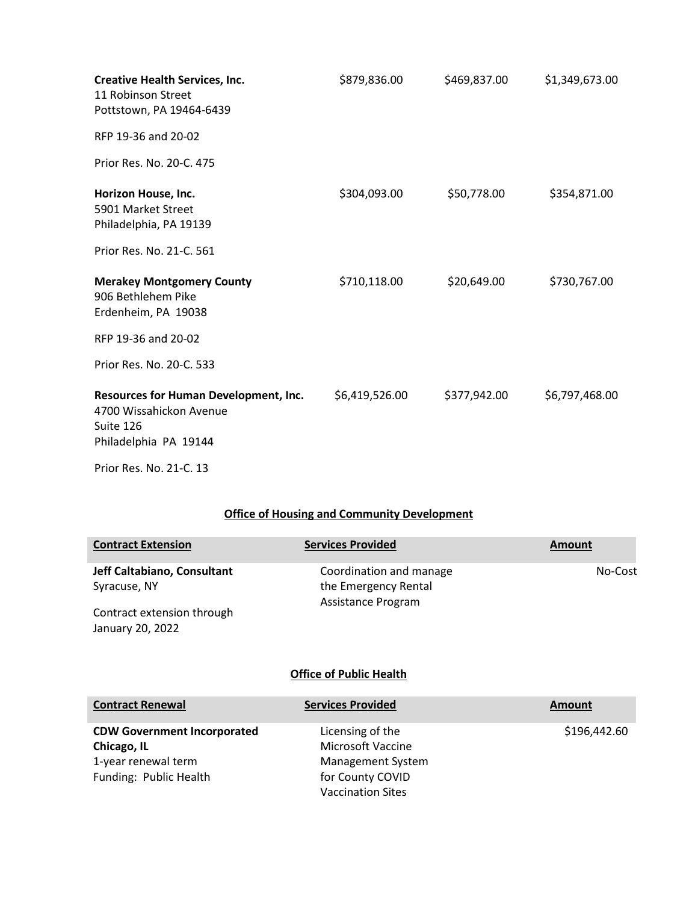| <b>Creative Health Services, Inc.</b><br>11 Robinson Street<br>Pottstown, PA 19464-6439                | \$879,836.00   | \$469,837.00 | \$1,349,673.00 |
|--------------------------------------------------------------------------------------------------------|----------------|--------------|----------------|
| RFP 19-36 and 20-02                                                                                    |                |              |                |
| Prior Res. No. 20-C. 475                                                                               |                |              |                |
| Horizon House, Inc.<br>5901 Market Street<br>Philadelphia, PA 19139                                    | \$304,093.00   | \$50,778.00  | \$354,871.00   |
| Prior Res. No. 21-C. 561                                                                               |                |              |                |
| <b>Merakey Montgomery County</b><br>906 Bethlehem Pike<br>Erdenheim, PA 19038                          | \$710,118.00   | \$20,649.00  | \$730,767.00   |
| RFP 19-36 and 20-02                                                                                    |                |              |                |
| Prior Res. No. 20-C. 533                                                                               |                |              |                |
| Resources for Human Development, Inc.<br>4700 Wissahickon Avenue<br>Suite 126<br>Philadelphia PA 19144 | \$6,419,526.00 | \$377,942.00 | \$6,797,468.00 |
| Prior Res. No. 21-C. 13                                                                                |                |              |                |

### **Office of Housing and Community Development**

| <b>Contract Extension</b>                      | <b>Services Provided</b>                        | Amount  |
|------------------------------------------------|-------------------------------------------------|---------|
| Jeff Caltabiano, Consultant<br>Syracuse, NY    | Coordination and manage<br>the Emergency Rental | No-Cost |
| Contract extension through<br>January 20, 2022 | Assistance Program                              |         |
|                                                |                                                 |         |

# **Office of Public Health**

| <b>Contract Renewal</b>            | <b>Services Provided</b> | Amount       |
|------------------------------------|--------------------------|--------------|
| <b>CDW Government Incorporated</b> | Licensing of the         | \$196,442.60 |
| Chicago, IL                        | <b>Microsoft Vaccine</b> |              |
| 1-year renewal term                | Management System        |              |
| Funding: Public Health             | for County COVID         |              |
|                                    | <b>Vaccination Sites</b> |              |